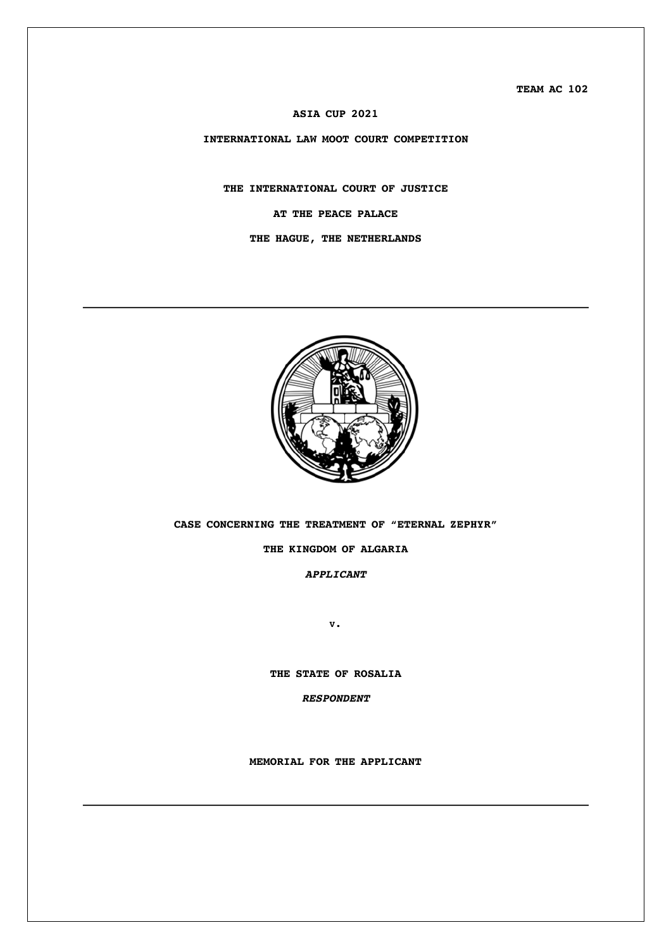**TEAM AC 102**

### **ASIA CUP 2021**

**INTERNATIONAL LAW MOOT COURT COMPETITION**

# **THE INTERNATIONAL COURT OF JUSTICE AT THE PEACE PALACE**

### **THE HAGUE, THE NETHERLANDS**



**CASE CONCERNING THE TREATMENT OF "ETERNAL ZEPHYR"**

### **THE KINGDOM OF ALGARIA**

*APPLICANT*

**V.**

**THE STATE OF ROSALIA**

*RESPONDENT*

**MEMORIAL FOR THE APPLICANT**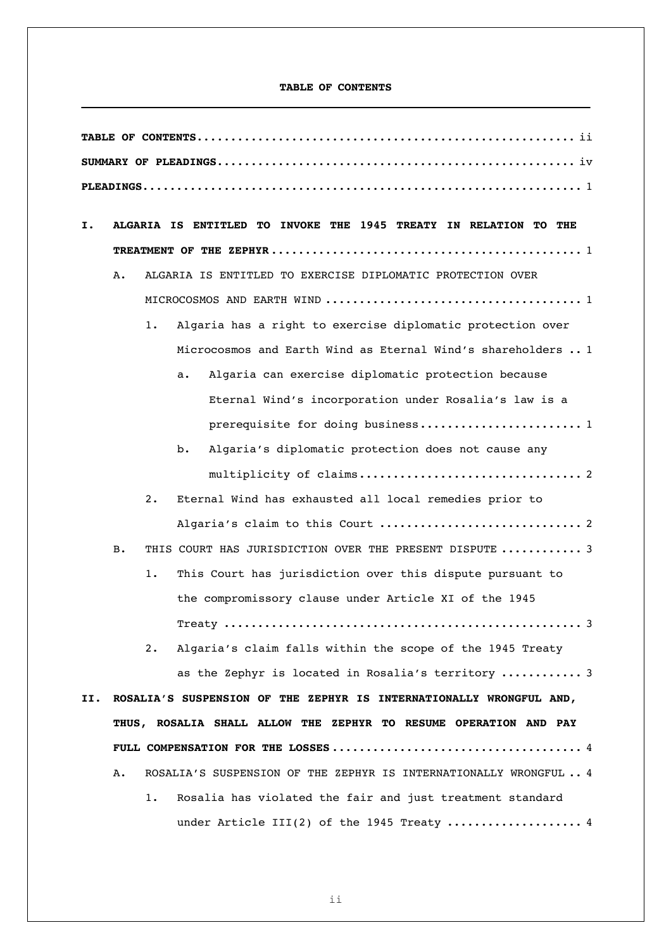### **TABLE OF CONTENTS**

| Ι.  |                                                                  |       | ALGARIA IS ENTITLED TO INVOKE THE 1945 TREATY IN RELATION TO THE    |
|-----|------------------------------------------------------------------|-------|---------------------------------------------------------------------|
|     |                                                                  |       |                                                                     |
|     | Α.                                                               |       | ALGARIA IS ENTITLED TO EXERCISE DIPLOMATIC PROTECTION OVER          |
|     |                                                                  |       |                                                                     |
|     |                                                                  | $1$ . | Algaria has a right to exercise diplomatic protection over          |
|     |                                                                  |       | Microcosmos and Earth Wind as Eternal Wind's shareholders  1        |
|     |                                                                  |       | Algaria can exercise diplomatic protection because<br>а.            |
|     |                                                                  |       | Eternal Wind's incorporation under Rosalia's law is a               |
|     |                                                                  |       | prerequisite for doing business 1                                   |
|     |                                                                  |       | Algaria's diplomatic protection does not cause any<br>b.            |
|     |                                                                  |       |                                                                     |
|     |                                                                  | 2.    | Eternal Wind has exhausted all local remedies prior to              |
|     |                                                                  |       |                                                                     |
|     | в.                                                               |       | THIS COURT HAS JURISDICTION OVER THE PRESENT DISPUTE  3             |
|     |                                                                  | 1.    | This Court has jurisdiction over this dispute pursuant to           |
|     |                                                                  |       | the compromissory clause under Article XI of the 1945               |
|     |                                                                  |       |                                                                     |
|     |                                                                  | 2.    | Algaria's claim falls within the scope of the 1945 Treaty           |
|     |                                                                  |       | as the Zephyr is located in Rosalia's territory  3                  |
| II. |                                                                  |       | ROSALIA'S SUSPENSION OF THE ZEPHYR IS INTERNATIONALLY WRONGFUL AND, |
|     | THUS, ROSALIA SHALL ALLOW THE ZEPHYR TO RESUME OPERATION AND PAY |       |                                                                     |
|     |                                                                  |       |                                                                     |
|     | Α.                                                               |       | ROSALIA'S SUSPENSION OF THE ZEPHYR IS INTERNATIONALLY WRONGFUL 4    |
|     |                                                                  | 1.    | Rosalia has violated the fair and just treatment standard           |
|     |                                                                  |       | under Article III(2) of the 1945 Treaty  4                          |

ii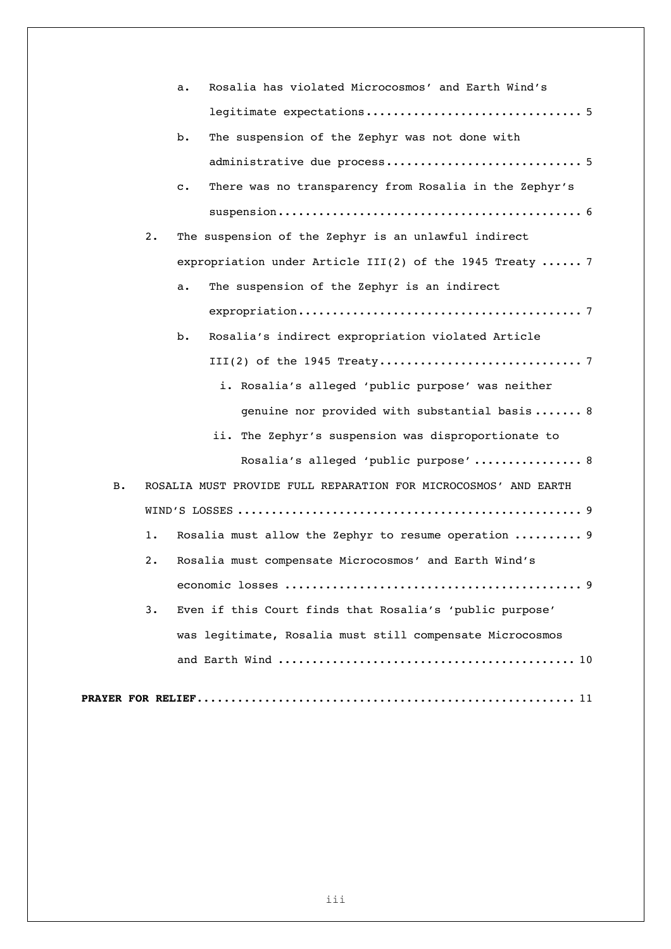|    | Rosalia has violated Microcosmos' and Earth Wind's<br>а.                 |  |
|----|--------------------------------------------------------------------------|--|
|    |                                                                          |  |
|    | The suspension of the Zephyr was not done with<br>$b$ .                  |  |
|    |                                                                          |  |
|    | There was no transparency from Rosalia in the Zephyr's<br>$\mathbf{c}$ . |  |
|    |                                                                          |  |
| 2. | The suspension of the Zephyr is an unlawful indirect                     |  |
|    | expropriation under Article III(2) of the 1945 Treaty  7                 |  |
|    | The suspension of the Zephyr is an indirect<br>а.                        |  |
|    |                                                                          |  |
|    | Rosalia's indirect expropriation violated Article<br>b.                  |  |
|    |                                                                          |  |
|    | i. Rosalia's alleged 'public purpose' was neither                        |  |
|    | genuine nor provided with substantial basis 8                            |  |
|    | ii. The Zephyr's suspension was disproportionate to                      |  |
|    | Rosalia's alleged 'public purpose'  8                                    |  |
| в. | ROSALIA MUST PROVIDE FULL REPARATION FOR MICROCOSMOS' AND EARTH          |  |
|    |                                                                          |  |
| 1. | Rosalia must allow the Zephyr to resume operation  9                     |  |
| 2. | Rosalia must compensate Microcosmos' and Earth Wind's                    |  |
|    |                                                                          |  |
| 3. | Even if this Court finds that Rosalia's 'public purpose'                 |  |
|    | was legitimate, Rosalia must still compensate Microcosmos                |  |
|    |                                                                          |  |
|    |                                                                          |  |
|    |                                                                          |  |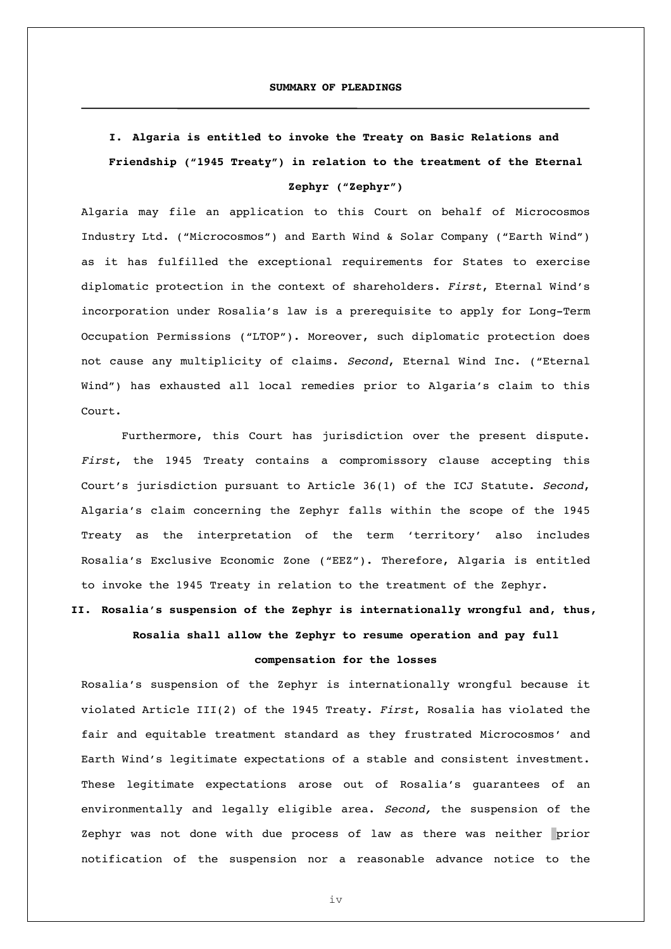# **I. Algaria is entitled to invoke the Treaty on Basic Relations and Friendship ("1945 Treaty") in relation to the treatment of the Eternal Zephyr ("Zephyr")**

Algaria may file an application to this Court on behalf of Microcosmos Industry Ltd. ("Microcosmos") and Earth Wind & Solar Company ("Earth Wind") as it has fulfilled the exceptional requirements for States to exercise diplomatic protection in the context of shareholders. *First*, Eternal Wind's incorporation under Rosalia's law is a prerequisite to apply for Long-Term Occupation Permissions ("LTOP"). Moreover, such diplomatic protection does not cause any multiplicity of claims. *Second*, Eternal Wind Inc. ("Eternal Wind") has exhausted all local remedies prior to Algaria's claim to this Court.

Furthermore, this Court has jurisdiction over the present dispute. *First*, the 1945 Treaty contains a compromissory clause accepting this Court's jurisdiction pursuant to Article 36(1) of the ICJ Statute. *Second*, Algaria's claim concerning the Zephyr falls within the scope of the 1945 Treaty as the interpretation of the term 'territory' also includes Rosalia's Exclusive Economic Zone ("EEZ"). Therefore, Algaria is entitled to invoke the 1945 Treaty in relation to the treatment of the Zephyr.

**II. Rosalia's suspension of the Zephyr is internationally wrongful and, thus, Rosalia shall allow the Zephyr to resume operation and pay full** 

### **compensation for the losses**

Rosalia's suspension of the Zephyr is internationally wrongful because it violated Article III(2) of the 1945 Treaty. *First*, Rosalia has violated the fair and equitable treatment standard as they frustrated Microcosmos' and Earth Wind's legitimate expectations of a stable and consistent investment. These legitimate expectations arose out of Rosalia's guarantees of an environmentally and legally eligible area. *Second,* the suspension of the Zephyr was not done with due process of law as there was neither prior notification of the suspension nor a reasonable advance notice to the

iv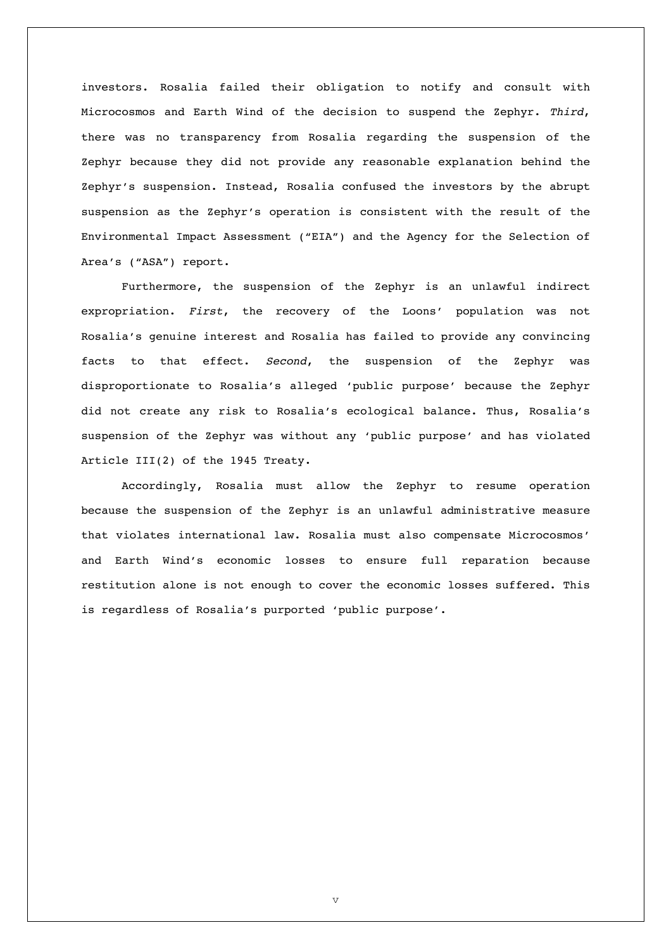investors. Rosalia failed their obligation to notify and consult with Microcosmos and Earth Wind of the decision to suspend the Zephyr. *Third*, there was no transparency from Rosalia regarding the suspension of the Zephyr because they did not provide any reasonable explanation behind the Zephyr's suspension. Instead, Rosalia confused the investors by the abrupt suspension as the Zephyr's operation is consistent with the result of the Environmental Impact Assessment ("EIA") and the Agency for the Selection of Area's ("ASA") report.

Furthermore, the suspension of the Zephyr is an unlawful indirect expropriation. *First*, the recovery of the Loons' population was not Rosalia's genuine interest and Rosalia has failed to provide any convincing facts to that effect. *Second*, the suspension of the Zephyr was disproportionate to Rosalia's alleged 'public purpose' because the Zephyr did not create any risk to Rosalia's ecological balance. Thus, Rosalia's suspension of the Zephyr was without any 'public purpose' and has violated Article III(2) of the 1945 Treaty.

Accordingly, Rosalia must allow the Zephyr to resume operation because the suspension of the Zephyr is an unlawful administrative measure that violates international law. Rosalia must also compensate Microcosmos' and Earth Wind's economic losses to ensure full reparation because restitution alone is not enough to cover the economic losses suffered. This is regardless of Rosalia's purported 'public purpose'.

v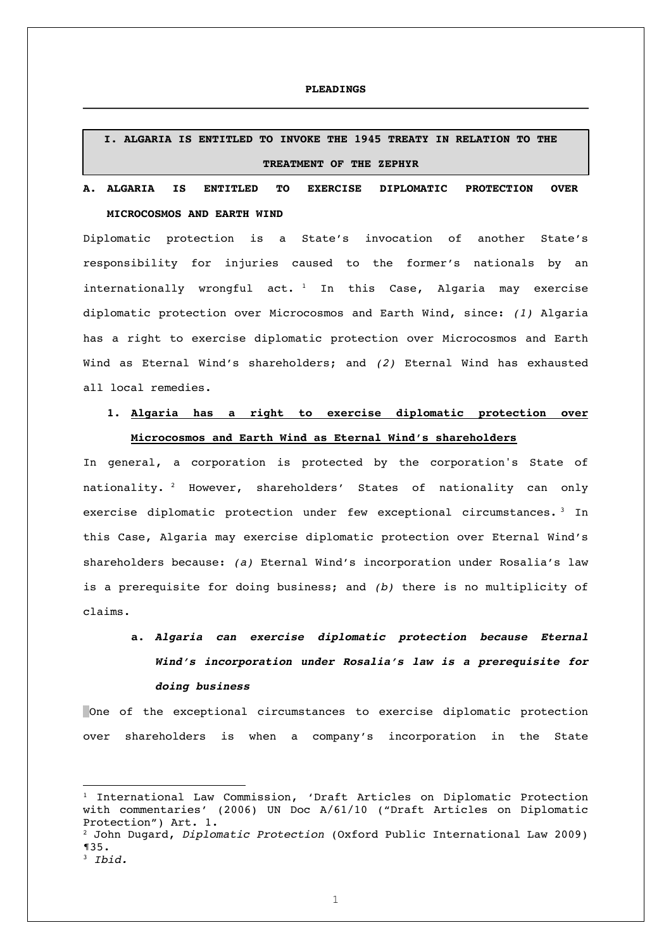#### **PLEADINGS**

### **I. ALGARIA IS ENTITLED TO INVOKE THE 1945 TREATY IN RELATION TO THE TREATMENT OF THE ZEPHYR**

### **A. ALGARIA IS ENTITLED TO EXERCISE DIPLOMATIC PROTECTION OVER MICROCOSMOS AND EARTH WIND**

Diplomatic protection is a State's invocation of another State's responsibility for injuries caused to the former's nationals by an internationally wrongful act.  $1$  In this Case, Algaria may exercise diplomatic protection over Microcosmos and Earth Wind, since: *(1)* Algaria has a right to exercise diplomatic protection over Microcosmos and Earth Wind as Eternal Wind's shareholders; and *(2)* Eternal Wind has exhausted all local remedies.

## **1. Algaria has a right to exercise diplomatic protection over Microcosmos and Earth Wind as Eternal Wind's shareholders**

In general, a corporation is protected by the corporation's State of nationality. <sup>2</sup> However, shareholders' States of nationality can only exercise diplomatic protection under few exceptional circumstances. <sup>3</sup> In this Case, Algaria may exercise diplomatic protection over Eternal Wind's shareholders because: *(a)* Eternal Wind's incorporation under Rosalia's law is a prerequisite for doing business; and *(b)* there is no multiplicity of claims.

# **a.** *Algaria can exercise diplomatic protection because Eternal Wind's incorporation under Rosalia's law is a prerequisite for doing business*

One of the exceptional circumstances to exercise diplomatic protection over shareholders is when a company's incorporation in the State

<sup>&</sup>lt;sup>1</sup> International Law Commission, 'Draft Articles on Diplomatic Protection with commentaries' (2006) UN Doc A/61/10 ("Draft Articles on Diplomatic Protection") Art. 1.

<sup>2</sup> John Dugard, *Diplomatic Protection* (Oxford Public International Law 2009) ¶35.

<sup>3</sup> *Ibid.*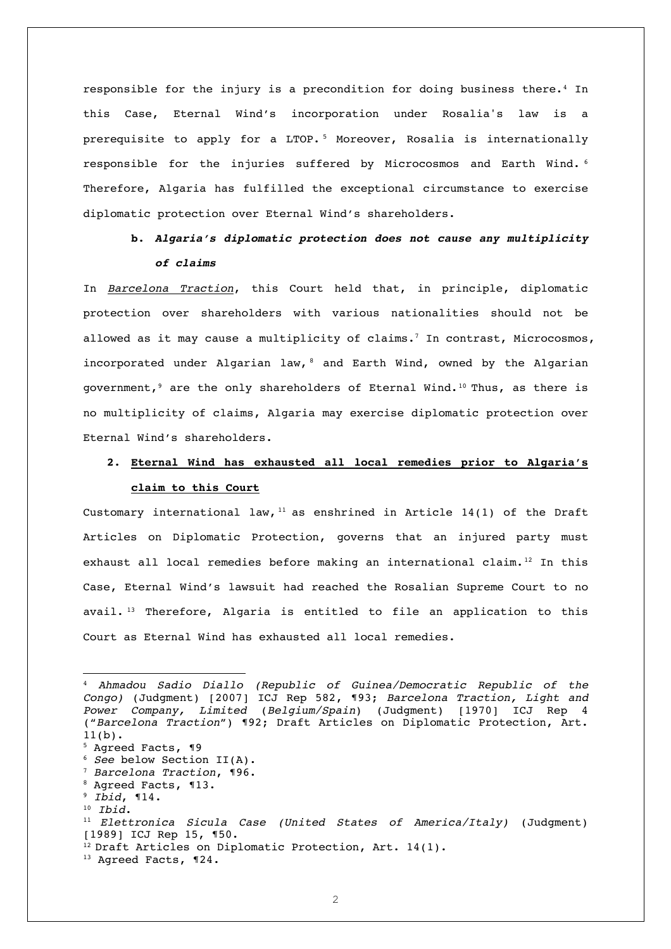responsible for the injury is a precondition for doing business there.<sup>4</sup> In this Case, Eternal Wind's incorporation under Rosalia's law is a prerequisite to apply for a LTOP. <sup>5</sup> Moreover, Rosalia is internationally responsible for the injuries suffered by Microcosmos and Earth Wind. <sup>6</sup> Therefore, Algaria has fulfilled the exceptional circumstance to exercise diplomatic protection over Eternal Wind's shareholders.

### **b.** *Algaria's diplomatic protection does not cause any multiplicity of claims*

In *Barcelona Traction*, this Court held that, in principle, diplomatic protection over shareholders with various nationalities should not be allowed as it may cause a multiplicity of claims.<sup>7</sup> In contrast, Microcosmos, incorporated under Algarian law, 8 and Earth Wind, owned by the Algarian government,<sup>9</sup> are the only shareholders of Eternal Wind.<sup>10</sup> Thus, as there is no multiplicity of claims, Algaria may exercise diplomatic protection over Eternal Wind's shareholders.

## **2. Eternal Wind has exhausted all local remedies prior to Algaria's claim to this Court**

Customary international law,  $11$  as enshrined in Article 14(1) of the Draft Articles on Diplomatic Protection, governs that an injured party must exhaust all local remedies before making an international claim.<sup>12</sup> In this Case, Eternal Wind's lawsuit had reached the Rosalian Supreme Court to no avail. <sup>13</sup> Therefore, Algaria is entitled to file an application to this Court as Eternal Wind has exhausted all local remedies.

- <sup>6</sup> *See* below Section II(A).
- <sup>7</sup> *Barcelona Traction*, ¶96.

<sup>4</sup> *Ahmadou Sadio Diallo (Republic of Guinea/Democratic Republic of the Congo)* (Judgment) [2007] ICJ Rep 582, ¶93; *Barcelona Traction, Light and Power Company, Limited* (*Belgium/Spain*) (Judgment) [1970] ICJ Rep 4 ("*Barcelona Traction*") ¶92; Draft Articles on Diplomatic Protection, Art. 11(b).<br> $5$  Agreed Facts, ¶9

<sup>8</sup> Agreed Facts, ¶13.

<sup>9</sup> *Ibid*, ¶14.

<sup>10</sup> *Ibid*.

<sup>11</sup> *Elettronica Sicula Case (United States of America/Italy)* (Judgment) [1989] ICJ Rep 15, ¶50.

<sup>&</sup>lt;sup>12</sup> Draft Articles on Diplomatic Protection, Art. 14(1).

<sup>&</sup>lt;sup>13</sup> Agreed Facts, ¶24.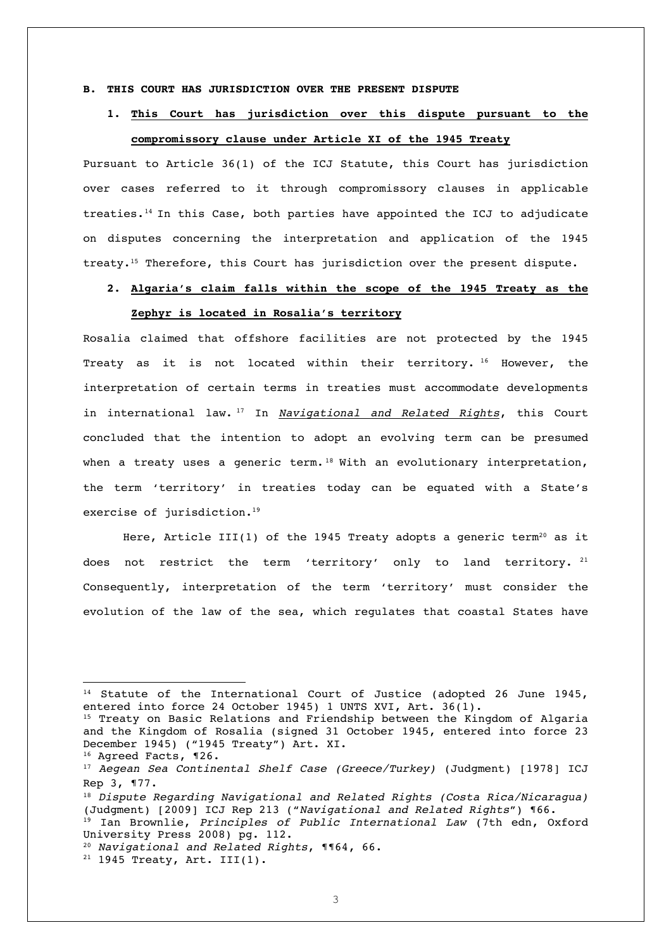#### **B. THIS COURT HAS JURISDICTION OVER THE PRESENT DISPUTE**

## **1. This Court has jurisdiction over this dispute pursuant to the compromissory clause under Article XI of the 1945 Treaty**

Pursuant to Article 36(1) of the ICJ Statute, this Court has jurisdiction over cases referred to it through compromissory clauses in applicable treaties.14 In this Case, both parties have appointed the ICJ to adjudicate on disputes concerning the interpretation and application of the 1945 treaty.15 Therefore, this Court has jurisdiction over the present dispute.

## **2. Algaria's claim falls within the scope of the 1945 Treaty as the**

### **Zephyr is located in Rosalia's territory**

Rosalia claimed that offshore facilities are not protected by the 1945 Treaty as it is not located within their territory. <sup>16</sup> However, the interpretation of certain terms in treaties must accommodate developments in international law. <sup>17</sup> In *Navigational and Related Rights*, this Court concluded that the intention to adopt an evolving term can be presumed when a treaty uses a generic term.<sup>18</sup> With an evolutionary interpretation, the term 'territory' in treaties today can be equated with a State's exercise of jurisdiction.<sup>19</sup>

Here, Article III(1) of the 1945 Treaty adopts a generic term<sup>20</sup> as it does not restrict the term 'territory' only to land territory.  $21$ Consequently, interpretation of the term 'territory' must consider the evolution of the law of the sea, which regulates that coastal States have

<sup>&</sup>lt;sup>14</sup> Statute of the International Court of Justice (adopted 26 June 1945, entered into force 24 October 1945) 1 UNTS XVI, Art. 36(1).

<sup>&</sup>lt;sup>15</sup> Treaty on Basic Relations and Friendship between the Kingdom of Algaria and the Kingdom of Rosalia (signed 31 October 1945, entered into force 23 December 1945) ("1945 Treaty") Art. XI.

<sup>16</sup> Agreed Facts, ¶26.

<sup>17</sup> *Aegean Sea Continental Shelf Case (Greece/Turkey)* (Judgment) [1978] ICJ Rep 3, ¶77.

<sup>18</sup> *Dispute Regarding Navigational and Related Rights (Costa Rica/Nicaragua)* (Judgment) [2009] ICJ Rep 213 ("*Navigational and Related Rights*") ¶66. <sup>19</sup> Ian Brownlie, *Principles of Public International Law* (7th edn, Oxford

University Press 2008) pg. 112.

<sup>20</sup> *Navigational and Related Rights*, ¶¶64, 66.

 $21$  1945 Treaty, Art. III(1).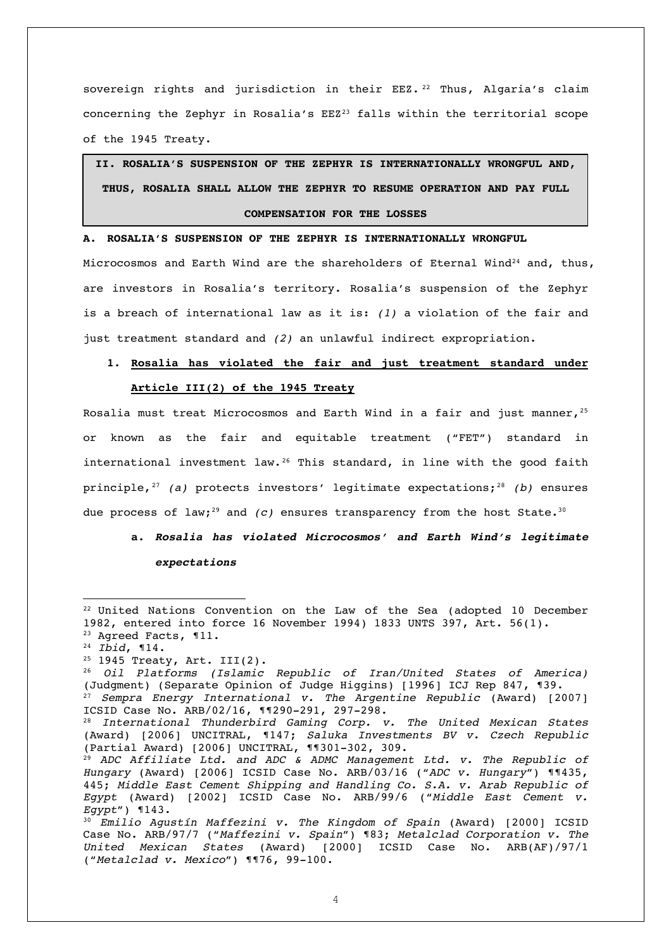sovereign rights and jurisdiction in their EEZ.  $22$  Thus, Algaria's claim concerning the Zephyr in Rosalia's EEZ<sup>23</sup> falls within the territorial scope of the 1945 Treaty.

# **II. ROSALIA'S SUSPENSION OF THE ZEPHYR IS INTERNATIONALLY WRONGFUL AND, THUS, ROSALIA SHALL ALLOW THE ZEPHYR TO RESUME OPERATION AND PAY FULL COMPENSATION FOR THE LOSSES**

**A. ROSALIA'S SUSPENSION OF THE ZEPHYR IS INTERNATIONALLY WRONGFUL**

Microcosmos and Earth Wind are the shareholders of Eternal Wind<sup>24</sup> and, thus, are investors in Rosalia's territory. Rosalia's suspension of the Zephyr is a breach of international law as it is: *(1)* a violation of the fair and just treatment standard and *(2)* an unlawful indirect expropriation.

## **1. Rosalia has violated the fair and just treatment standard under Article III(2) of the 1945 Treaty**

Rosalia must treat Microcosmos and Earth Wind in a fair and just manner,  $2^5$ or known as the fair and equitable treatment ("FET") standard in international investment law.<sup>26</sup> This standard, in line with the good faith principle,<sup>27</sup> (a) protects investors' legitimate expectations;<sup>28</sup> (b) ensures due process of law;<sup>29</sup> and *(c)* ensures transparency from the host State.<sup>30</sup>

**a.** *Rosalia has violated Microcosmos' and Earth Wind's legitimate expectations* 

<sup>&</sup>lt;sup>22</sup> United Nations Convention on the Law of the Sea (adopted 10 December 1982, entered into force 16 November 1994) 1833 UNTS 397, Art. 56(1). <sup>23</sup> Agreed Facts, ¶11.

<sup>24</sup> *Ibid*, ¶14.

 $25$  1945 Treaty, Art. III(2).

<sup>26</sup> *Oil Platforms (Islamic Republic of Iran/United States of America)*  (Judgment) (Separate Opinion of Judge Higgins) [1996] ICJ Rep 847, ¶39. <sup>27</sup> *Sempra Energy International v. The Argentine Republic* (Award) [2007] ICSID Case No. ARB/02/16, ¶¶290-291, 297-298.

<sup>28</sup> *International Thunderbird Gaming Corp. v. The United Mexican States* (Award) [2006] UNCITRAL, ¶147; *Saluka Investments BV v. Czech Republic* (Partial Award) [2006] UNCITRAL, ¶¶301-302, 309.

<sup>29</sup> *ADC Affiliate Ltd. and ADC & ADMC Management Ltd. v. The Republic of Hungary* (Award) [2006] ICSID Case No. ARB/03/16 ("*ADC v. Hungary*") ¶¶435, 445; *Middle East Cement Shipping and Handling Co. S.A. v. Arab Republic of Egypt* (Award) [2002] ICSID Case No. ARB/99/6 ("*Middle East Cement v. Egypt*") ¶143.

<sup>30</sup> *Emilio Agustín Maffezini v. The Kingdom of Spain* (Award) [2000] ICSID Case No. ARB/97/7 ("*Maffezini v. Spain*") ¶83; *Metalclad Corporation v. The United Mexican States* (Award) [2000] ICSID Case No. ARB(AF)/97/1 ("*Metalclad v. Mexico*") ¶¶76, 99-100.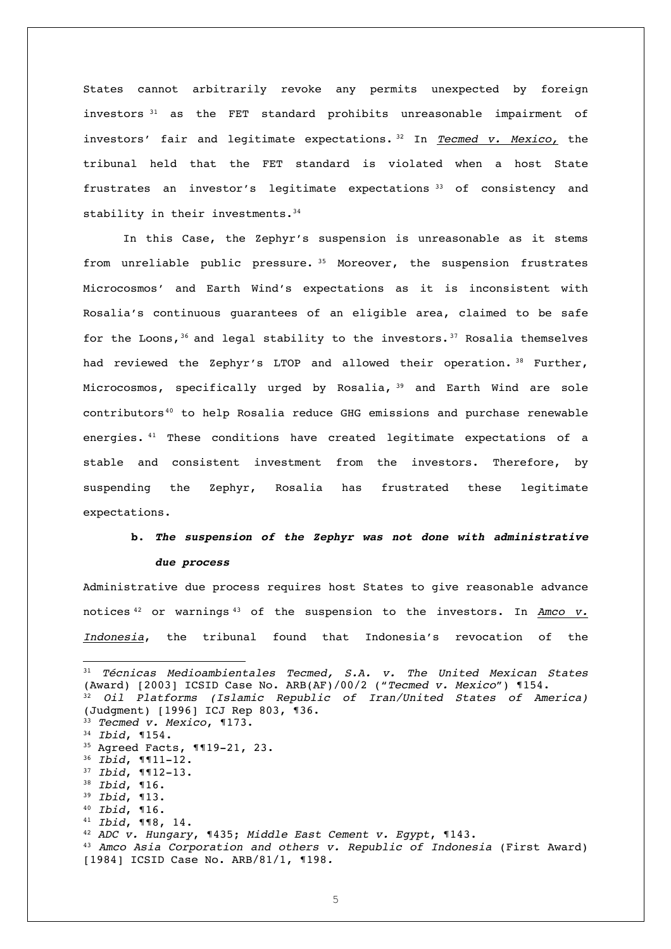States cannot arbitrarily revoke any permits unexpected by foreign investors <sup>31</sup> as the FET standard prohibits unreasonable impairment of investors' fair and legitimate expectations. <sup>32</sup> In *Tecmed v. Mexico,* the tribunal held that the FET standard is violated when a host State frustrates an investor's legitimate expectations <sup>33</sup> of consistency and stability in their investments.<sup>34</sup>

In this Case, the Zephyr's suspension is unreasonable as it stems from unreliable public pressure. <sup>35</sup> Moreover, the suspension frustrates Microcosmos' and Earth Wind's expectations as it is inconsistent with Rosalia's continuous guarantees of an eligible area, claimed to be safe for the Loons,  $36$  and legal stability to the investors.  $37$  Rosalia themselves had reviewed the Zephyr's LTOP and allowed their operation. 38 Further, Microcosmos, specifically urged by Rosalia, <sup>39</sup> and Earth Wind are sole contributors<sup>40</sup> to help Rosalia reduce GHG emissions and purchase renewable energies. <sup>41</sup> These conditions have created legitimate expectations of a stable and consistent investment from the investors. Therefore, by suspending the Zephyr, Rosalia has frustrated these legitimate expectations.

# **b.** *The suspension of the Zephyr was not done with administrative*

#### *due process*

Administrative due process requires host States to give reasonable advance notices <sup>42</sup> or warnings <sup>43</sup> of the suspension to the investors. In *Amco v. Indonesia*, the tribunal found that Indonesia's revocation of the

<sup>31</sup> *Técnicas Medioambientales Tecmed, S.A. v. The United Mexican States* (Award) [2003] ICSID Case No. ARB(AF)/00/2 ("*Tecmed v. Mexico*") ¶154. <sup>32</sup> *Oil Platforms (Islamic Republic of Iran/United States of America)*  (Judgment) [1996] ICJ Rep 803, ¶36. <sup>33</sup> *Tecmed v. Mexico*, ¶173. <sup>34</sup> *Ibid*, ¶154. <sup>35</sup> Agreed Facts, ¶¶19-21, 23. <sup>36</sup> *Ibid*, ¶¶11-12. <sup>37</sup> *Ibid*, ¶¶12-13. <sup>38</sup> *Ibid*, ¶16. <sup>39</sup> *Ibid*, ¶13. <sup>40</sup> *Ibid*, ¶16. <sup>41</sup> *Ibid*, ¶¶8, 14. <sup>42</sup> *ADC v. Hungary*, ¶435; *Middle East Cement v. Egypt*, ¶143. <sup>43</sup> *Amco Asia Corporation and others v. Republic of Indonesia* (First Award) [1984] ICSID Case No. ARB/81/1, ¶198*.*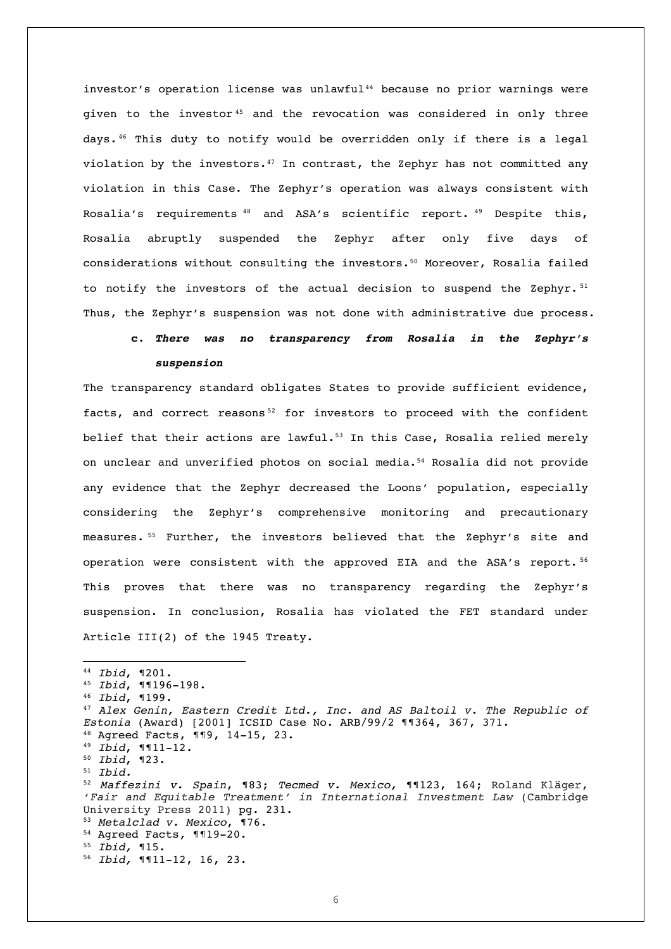investor's operation license was unlawful<sup>44</sup> because no prior warnings were given to the investor <sup>45</sup> and the revocation was considered in only three days.46 This duty to notify would be overridden only if there is a legal violation by the investors.<sup>47</sup> In contrast, the Zephyr has not committed any violation in this Case. The Zephyr's operation was always consistent with Rosalia's requirements <sup>48</sup> and ASA's scientific report. <sup>49</sup> Despite this, Rosalia abruptly suspended the Zephyr after only five days of considerations without consulting the investors.50 Moreover, Rosalia failed to notify the investors of the actual decision to suspend the Zephyr.  $51$ Thus, the Zephyr's suspension was not done with administrative due process.

## **c.** *There was no transparency from Rosalia in the Zephyr's suspension*

The transparency standard obligates States to provide sufficient evidence, facts, and correct reasons<sup>52</sup> for investors to proceed with the confident belief that their actions are lawful.<sup>53</sup> In this Case, Rosalia relied merely on unclear and unverified photos on social media.54 Rosalia did not provide any evidence that the Zephyr decreased the Loons' population, especially considering the Zephyr's comprehensive monitoring and precautionary measures. <sup>55</sup> Further, the investors believed that the Zephyr's site and operation were consistent with the approved EIA and the ASA's report. <sup>56</sup> This proves that there was no transparency regarding the Zephyr's suspension. In conclusion, Rosalia has violated the FET standard under Article III(2) of the 1945 Treaty.

 *Ibid*, ¶201. *Ibid*, ¶¶196-198. *Ibid*, ¶199. *Alex Genin, Eastern Credit Ltd., Inc. and AS Baltoil v. The Republic of Estonia* (Award) [2001] ICSID Case No. ARB/99/2 ¶¶364, 367, 371. Agreed Facts, ¶¶9, 14-15, 23. *Ibid*, ¶¶11-12. *Ibid*, ¶23. <sup>51</sup> *Ibid. Maffezini v. Spain*, ¶83; *Tecmed v. Mexico,* ¶¶123, 164; Roland Kläger, '*Fair and Equitable Treatment' in International Investment Law* (Cambridge University Press 2011) pg. 231. *Metalclad v. Mexico*, ¶76. Agreed Facts*,* ¶¶19-20. *Ibid,* ¶15. *Ibid,* ¶¶11-12, 16, 23.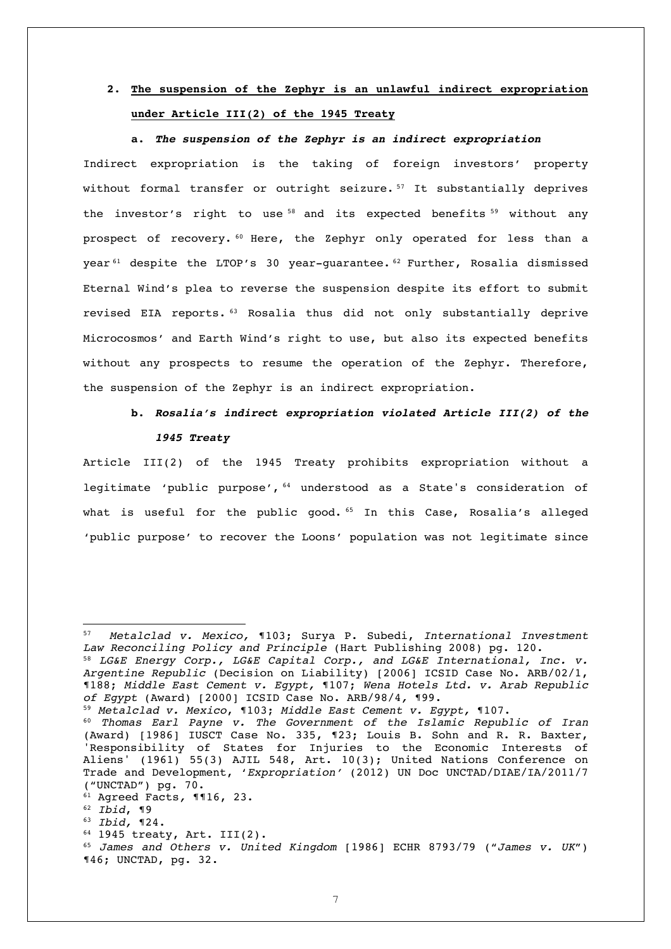## **2. The suspension of the Zephyr is an unlawful indirect expropriation under Article III(2) of the 1945 Treaty**

#### **a.** *The suspension of the Zephyr is an indirect expropriation*

Indirect expropriation is the taking of foreign investors' property without formal transfer or outright seizure. <sup>57</sup> It substantially deprives the investor's right to use<sup>58</sup> and its expected benefits<sup>59</sup> without any prospect of recovery. <sup>60</sup> Here, the Zephyr only operated for less than a year<sup>61</sup> despite the LTOP's 30 year-quarantee.<sup>62</sup> Further, Rosalia dismissed Eternal Wind's plea to reverse the suspension despite its effort to submit revised EIA reports. <sup>63</sup> Rosalia thus did not only substantially deprive Microcosmos' and Earth Wind's right to use, but also its expected benefits without any prospects to resume the operation of the Zephyr. Therefore, the suspension of the Zephyr is an indirect expropriation.

### **b.** *Rosalia's indirect expropriation violated Article III(2) of the 1945 Treaty*

Article III(2) of the 1945 Treaty prohibits expropriation without a legitimate 'public purpose', <sup>64</sup> understood as a State's consideration of what is useful for the public good.  $65$  In this Case, Rosalia's alleged 'public purpose' to recover the Loons' population was not legitimate since

<sup>64</sup> 1945 treaty, Art. III(2).

<sup>57</sup> *Metalclad v. Mexico,* ¶103; Surya P. Subedi, *International Investment Law Reconciling Policy and Principle* (Hart Publishing 2008) pg. 120.

<sup>58</sup> *LG&E Energy Corp., LG&E Capital Corp., and LG&E International, Inc. v. Argentine Republic* (Decision on Liability) [2006] ICSID Case No. ARB/02/1, ¶188; *Middle East Cement v. Egypt,* ¶107; *Wena Hotels Ltd. v. Arab Republic of Egypt* (Award) [2000] ICSID Case No. ARB/98/4*,* ¶99.

<sup>59</sup> *Metalclad v. Mexico*, ¶103; *Middle East Cement v. Egypt,* ¶107.

<sup>60</sup> *Thomas Earl Payne v. The Government of the Islamic Republic of Iran* (Award) [1986] IUSCT Case No. 335, ¶23; Louis B. Sohn and R. R. Baxter, 'Responsibility of States for Injuries to the Economic Interests of Aliens' (1961) 55(3) AJIL 548, Art. 10(3); United Nations Conference on Trade and Development, '*Expropriation'* (2012) UN Doc UNCTAD/DIAE/IA/2011/7 ("UNCTAD") pg. 70.

<sup>61</sup> Agreed Facts*,* ¶¶16, 23.

<sup>62</sup> *Ibid*, ¶9

<sup>63</sup> *Ibid,* ¶24.

<sup>65</sup> *James and Others v. United Kingdom* [1986] ECHR 8793/79 ("*James v. UK*") ¶46; UNCTAD, pg. 32.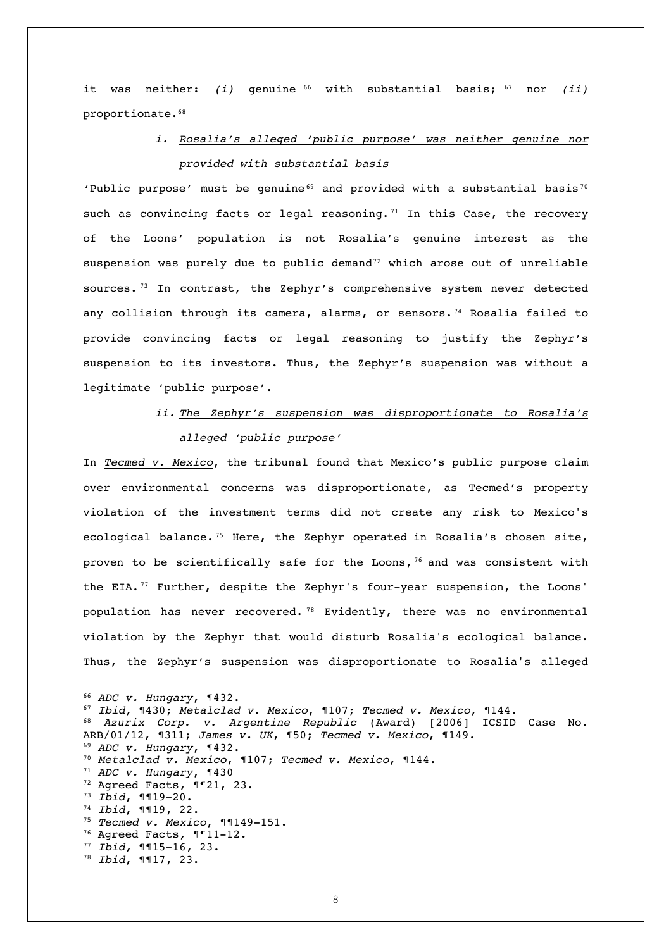it was neither: *(i)* genuine <sup>66</sup> with substantial basis; <sup>67</sup> nor *(ii)* proportionate.68

### *i. Rosalia's alleged 'public purpose' was neither genuine nor provided with substantial basis*

'Public purpose' must be genuine $^{69}$  and provided with a substantial basis<sup>70</sup> such as convincing facts or legal reasoning.<sup>71</sup> In this Case, the recovery of the Loons' population is not Rosalia's genuine interest as the suspension was purely due to public demand<sup>72</sup> which arose out of unreliable sources.<sup>73</sup> In contrast, the Zephyr's comprehensive system never detected any collision through its camera, alarms, or sensors.<sup>74</sup> Rosalia failed to provide convincing facts or legal reasoning to justify the Zephyr's suspension to its investors. Thus, the Zephyr's suspension was without a legitimate 'public purpose'.

## *ii. The Zephyr's suspension was disproportionate to Rosalia's alleged 'public purpose'*

In *Tecmed v. Mexico*, the tribunal found that Mexico's public purpose claim over environmental concerns was disproportionate, as Tecmed's property violation of the investment terms did not create any risk to Mexico's ecological balance.<sup>75</sup> Here, the Zephyr operated in Rosalia's chosen site, proven to be scientifically safe for the Loons,  $76$  and was consistent with the EIA.<sup>77</sup> Further, despite the Zephyr's four-year suspension, the Loons' population has never recovered. <sup>78</sup> Evidently, there was no environmental violation by the Zephyr that would disturb Rosalia's ecological balance. Thus, the Zephyr's suspension was disproportionate to Rosalia's alleged

<sup>66</sup> *ADC v. Hungary*, ¶432.

<sup>67</sup> *Ibid,* ¶430; *Metalclad v. Mexico*, ¶107; *Tecmed v. Mexico*, ¶144.

<sup>68</sup> *Azurix Corp. v. Argentine Republic* (Award) [2006] ICSID Case No. ARB/01/12, ¶311; *James v. UK*, ¶50; *Tecmed v. Mexico*, ¶149.

<sup>69</sup> *ADC v. Hungary*, ¶432.

<sup>70</sup> *Metalclad v. Mexico*, ¶107; *Tecmed v. Mexico*, ¶144.

<sup>71</sup> *ADC v. Hungary*, ¶430

<sup>72</sup> Agreed Facts, ¶¶21, 23. 73 *Ibid*, ¶¶19-20.

<sup>74</sup> *Ibid*, ¶¶19, 22.

<sup>75</sup> *Tecmed v. Mexico*, ¶¶149-151.

<sup>76</sup> Agreed Facts*,* ¶¶11-12.

<sup>77</sup> *Ibid,* ¶¶15-16, 23.

<sup>78</sup> *Ibid*, ¶¶17, 23.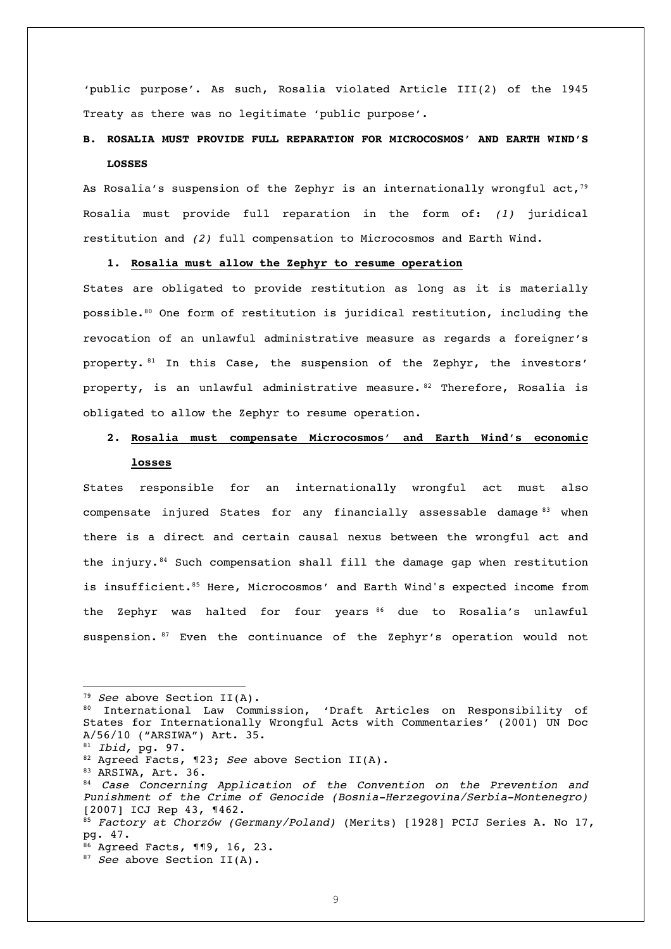'public purpose'. As such, Rosalia violated Article III(2) of the 1945 Treaty as there was no legitimate 'public purpose'.

### **B. ROSALIA MUST PROVIDE FULL REPARATION FOR MICROCOSMOS' AND EARTH WIND'S LOSSES**

As Rosalia's suspension of the Zephyr is an internationally wrongful act,<sup>79</sup> Rosalia must provide full reparation in the form of: *(1)* juridical restitution and *(2)* full compensation to Microcosmos and Earth Wind.

### **1. Rosalia must allow the Zephyr to resume operation**

States are obligated to provide restitution as long as it is materially possible.80 One form of restitution is juridical restitution, including the revocation of an unlawful administrative measure as regards a foreigner's property. <sup>81</sup> In this Case, the suspension of the Zephyr, the investors' property, is an unlawful administrative measure. 82 Therefore, Rosalia is obligated to allow the Zephyr to resume operation.

## **2. Rosalia must compensate Microcosmos' and Earth Wind's economic losses**

States responsible for an internationally wrongful act must also compensate injured States for any financially assessable damage <sup>83</sup> when there is a direct and certain causal nexus between the wrongful act and the injury.  $84$  Such compensation shall fill the damage gap when restitution is insufficient.<sup>85</sup> Here, Microcosmos' and Earth Wind's expected income from the Zephyr was halted for four years 86 due to Rosalia's unlawful suspension. <sup>87</sup> Even the continuance of the Zephyr's operation would not

<sup>79</sup> *See* above Section II(A). 80 International Law Commission, 'Draft Articles on Responsibility of States for Internationally Wrongful Acts with Commentaries' (2001) UN Doc A/56/10 ("ARSIWA") Art. 35. <sup>81</sup> *Ibid,* pg. 97.

<sup>82</sup> Agreed Facts, ¶23; *See* above Section II(A).

<sup>83</sup> ARSIWA, Art. 36.

<sup>84</sup> *Case Concerning Application of the Convention on the Prevention and Punishment of the Crime of Genocide (Bosnia-Herzegovina/Serbia-Montenegro)*  [2007] ICJ Rep 43, ¶462.

<sup>85</sup> *Factory at Chorzów (Germany/Poland)* (Merits) [1928] PCIJ Series A. No 17, pg. 47.

<sup>86</sup> Agreed Facts, ¶¶9, 16, 23.

<sup>87</sup> *See* above Section II(A).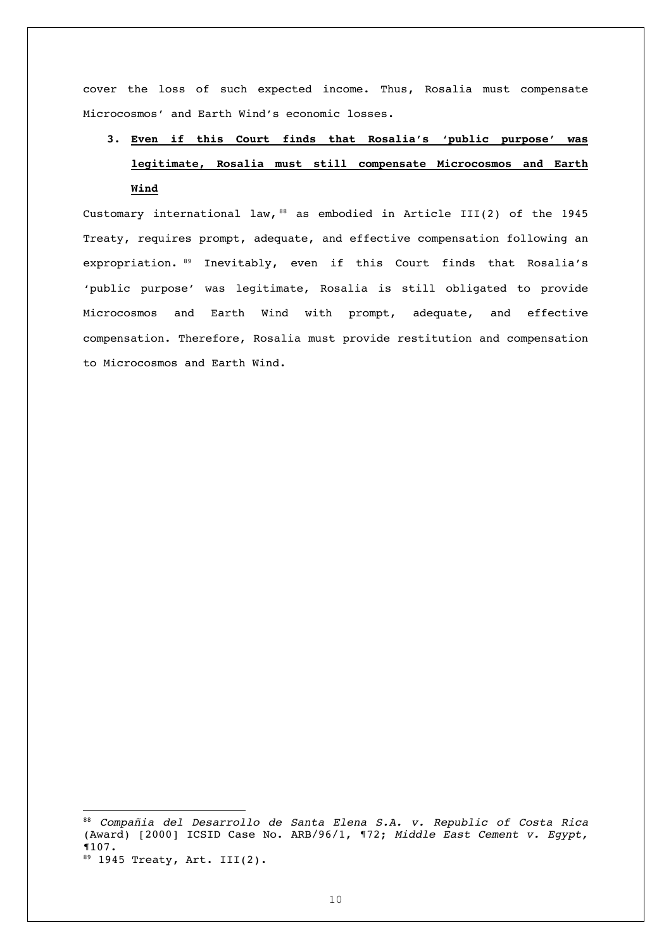cover the loss of such expected income. Thus, Rosalia must compensate Microcosmos' and Earth Wind's economic losses.

# **3. Even if this Court finds that Rosalia's 'public purpose' was legitimate, Rosalia must still compensate Microcosmos and Earth Wind**

Customary international law,  $88$  as embodied in Article III(2) of the 1945 Treaty, requires prompt, adequate, and effective compensation following an expropriation. <sup>89</sup> Inevitably, even if this Court finds that Rosalia's 'public purpose' was legitimate, Rosalia is still obligated to provide Microcosmos and Earth Wind with prompt, adequate, and effective compensation. Therefore, Rosalia must provide restitution and compensation to Microcosmos and Earth Wind.

<sup>88</sup> *Compañia del Desarrollo de Santa Elena S.A. v. Republic of Costa Rica* (Award) [2000] ICSID Case No. ARB/96/1, ¶72; *Middle East Cement v. Egypt,* ¶107.  $89$  1945 Treaty, Art. III(2).